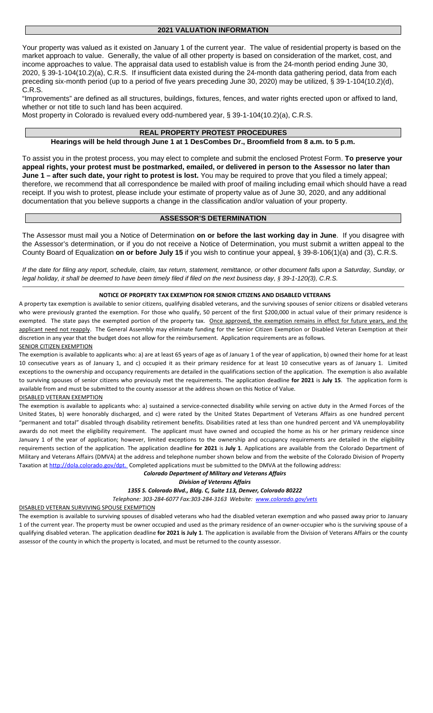### **2021 VALUATION INFORMATION**

Your property was valued as it existed on January 1 of the current year. The value of residential property is based on the market approach to value. Generally, the value of all other property is based on consideration of the market, cost, and income approaches to value. The appraisal data used to establish value is from the 24-month period ending June 30, 2020, § 39-1-104(10.2)(a), C.R.S. If insufficient data existed during the 24-month data gathering period, data from each preceding six-month period (up to a period of five years preceding June 30, 2020) may be utilized, § 39-1-104(10.2)(d), C.R.S.

"Improvements" are defined as all structures, buildings, fixtures, fences, and water rights erected upon or affixed to land, whether or not title to such land has been acquired.

Most property in Colorado is revalued every odd-numbered year, § 39-1-104(10.2)(a), C.R.S.

## **REAL PROPERTY PROTEST PROCEDURES**

### **Hearings will be held through June 1 at 1 DesCombes Dr., Broomfield from 8 a.m. to 5 p.m.**

To assist you in the protest process, you may elect to complete and submit the enclosed Protest Form. **To preserve your appeal rights, your protest must be postmarked, emailed, or delivered in person to the Assessor no later than June 1 – after such date, your right to protest is lost.** You may be required to prove that you filed a timely appeal; therefore, we recommend that all correspondence be mailed with proof of mailing including email which should have a read receipt. If you wish to protest, please include your estimate of property value as of June 30, 2020, and any additional documentation that you believe supports a change in the classification and/or valuation of your property.

## **ASSESSOR'S DETERMINATION**

The Assessor must mail you a Notice of Determination **on or before the last working day in June**. If you disagree with the Assessor's determination, or if you do not receive a Notice of Determination, you must submit a written appeal to the County Board of Equalization **on or before July 15** if you wish to continue your appeal, § 39-8-106(1)(a) and (3), C.R.S.

*If the date for filing any report, schedule, claim, tax return, statement, remittance, or other document falls upon a Saturday, Sunday, or legal holiday, it shall be deemed to have been timely filed if filed on the next business day, § 39-1-120(3), C.R.S.*

### **NOTICE OF PROPERTY TAX EXEMPTION FOR SENIOR CITIZENS AND DISABLED VETERANS**

A property tax exemption is available to senior citizens, qualifying disabled veterans, and the surviving spouses of senior citizens or disabled veterans who were previously granted the exemption. For those who qualify, 50 percent of the first \$200,000 in actual value of their primary residence is exempted. The state pays the exempted portion of the property tax. Once approved, the exemption remains in effect for future years, and the applicant need not reapply. The General Assembly may eliminate funding for the Senior Citizen Exemption or Disabled Veteran Exemption at their discretion in any year that the budget does not allow for the reimbursement. Application requirements are as follows. SENIOR CITIZEN EXEMPTION

The exemption is available to applicants who: a) are at least 65 years of age as of January 1 of the year of application, b) owned their home for at least 10 consecutive years as of January 1, and c) occupied it as their primary residence for at least 10 consecutive years as of January 1. Limited exceptions to the ownership and occupancy requirements are detailed in the qualifications section of the application. The exemption is also available to surviving spouses of senior citizens who previously met the requirements. The application deadline **for 2021** is **July 15**. The application form is available from and must be submitted to the county assessor at the address shown on this Notice of Value.

#### DISABLED VETERAN EXEMPTION

The exemption is available to applicants who: a) sustained a service-connected disability while serving on active duty in the Armed Forces of the United States, b) were honorably discharged, and c) were rated by the United States Department of Veterans Affairs as one hundred percent "permanent and total" disabled through disability retirement benefits. Disabilities rated at less than one hundred percent and VA unemployability awards do not meet the eligibility requirement. The applicant must have owned and occupied the home as his or her primary residence since January 1 of the year of application; however, limited exceptions to the ownership and occupancy requirements are detailed in the eligibility requirements section of the application. The application deadline **for 2021** is **July 1**. Applications are available from the Colorado Department of Military and Veterans Affairs (DMVA) at the address and telephone number shown below and from the website of the Colorado Division of Property Taxation at [http://dola.colorado.gov/dpt. C](http://dola.colorado.gov/dpt.)ompleted applications must be submitted to the DMVA at the following address:

#### *Colorado Department of Military and Veterans Affairs*

*Division of Veterans Affairs*

### *1355 S. Colorado Blvd., Bldg. C, Suite 113, Denver, Colorado 80222*

*Telephone: 303-284-6077 Fax:303-284-3163 Website: [www.colorado.gov/vets](http://www.colorado.gov/vets)*

DISABLED VETERAN SURVIVING SPOUSE EXEMPTION

The exemption is available to surviving spouses of disabled veterans who had the disabled veteran exemption and who passed away prior to January 1 of the current year. The property must be owner occupied and used as the primary residence of an owner-occupier who is the surviving spouse of a qualifying disabled veteran. The application deadline **for 2021 is July 1**. The application is available from the Division of Veterans Affairs or the county assessor of the county in which the property is located, and must be returned to the county assessor.